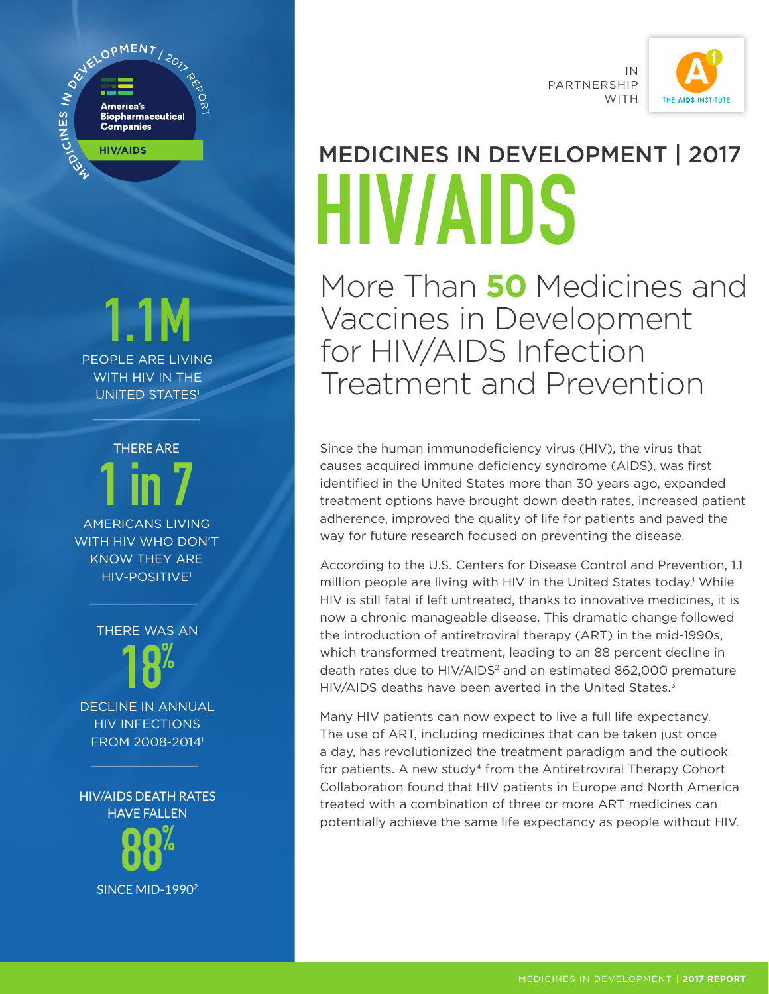

### 1.1M PEOPLE ARE LIVING

WITH HIV IN THE UNITED STATES<sup>1</sup>

THERE ARE 1 in 7 AMERICANS LIVING

WITH HIV WHO DON'T KNOW THEY ARE HIV-POSITIVE1

> THERE WAS AN 18%

DECLINE IN ANNUAL HIV INFECTIONS FROM 2008-20141

HIV/AIDS DEATH RATES HAVE FALLEN



IN PARTNERSHIP WITH



## MEDICINES IN DEVELOPMENT | 2017 HIV/AIDS

More Than **50** Medicines and Vaccines in Development for HIV/AIDS Infection Treatment and Prevention

Since the human immunodeficiency virus (HIV), the virus that causes acquired immune deficiency syndrome (AIDS), was first identified in the United States more than 30 years ago, expanded treatment options have brought down death rates, increased patient adherence, improved the quality of life for patients and paved the way for future research focused on preventing the disease.

According to the U.S. Centers for Disease Control and Prevention, 1.1 million people are living with HIV in the United States today.<sup>1</sup> While HIV is still fatal if left untreated, thanks to innovative medicines, it is now a chronic manageable disease. This dramatic change followed the introduction of antiretroviral therapy (ART) in the mid-1990s, which transformed treatment, leading to an 88 percent decline in death rates due to HIV/AIDS<sup>2</sup> and an estimated 862,000 premature HIV/AIDS deaths have been averted in the United States.<sup>3</sup>

Many HIV patients can now expect to live a full life expectancy. The use of ART, including medicines that can be taken just once a day, has revolutionized the treatment paradigm and the outlook for patients. A new study<sup>4</sup> from the Antiretroviral Therapy Cohort Collaboration found that HIV patients in Europe and North America treated with a combination of three or more ART medicines can potentially achieve the same life expectancy as people without HIV.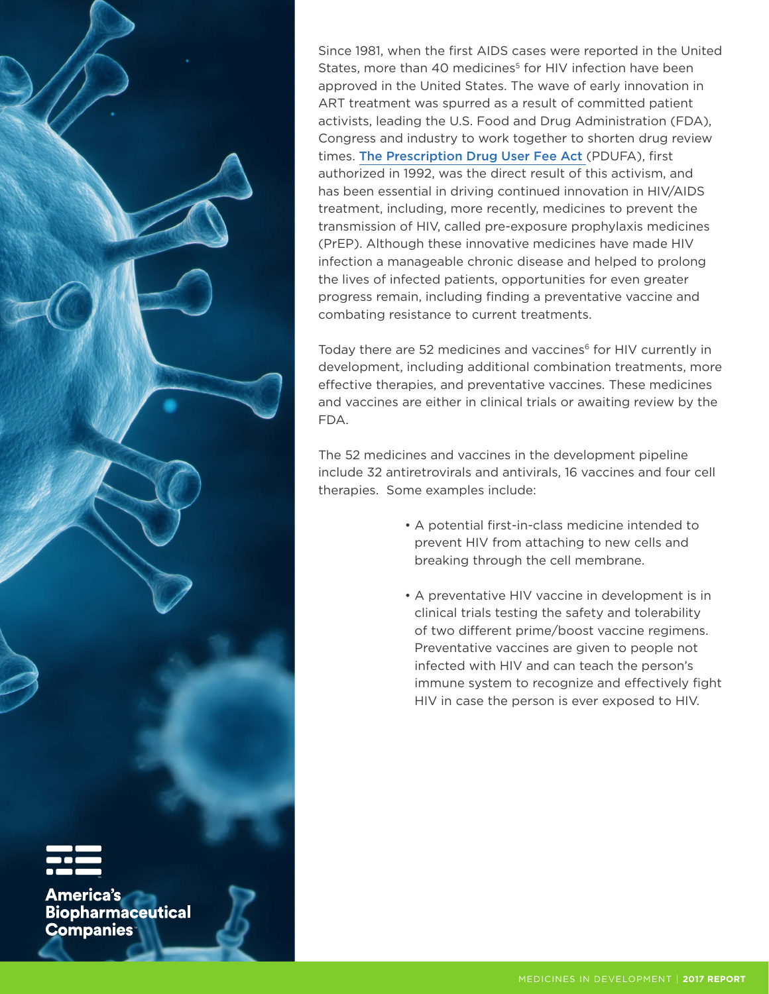

Since 1981, when the first AIDS cases were reported in the United States, more than 40 medicines<sup>5</sup> for HIV infection have been approved in the United States. The wave of early innovation in ART treatment was spurred as a result of committed patient activists, leading the U.S. Food and Drug Administration (FDA), Congress and industry to work together to shorten drug review times. [The Prescription Drug User Fee Act](file:/Users/michaelbuie/Downloads/Factsheet-PDUFA-VI4.pdf) (PDUFA), first authorized in 1992, was the direct result of this activism, and has been essential in driving continued innovation in HIV/AIDS treatment, including, more recently, medicines to prevent the transmission of HIV, called pre-exposure prophylaxis medicines (PrEP). Although these innovative medicines have made HIV infection a manageable chronic disease and helped to prolong the lives of infected patients, opportunities for even greater progress remain, including finding a preventative vaccine and combating resistance to current treatments.

Today there are 52 medicines and vaccines<sup>6</sup> for HIV currently in development, including additional combination treatments, more effective therapies, and preventative vaccines. These medicines and vaccines are either in clinical trials or awaiting review by the

The 52 medicines and vaccines in the development pipeline include 32 antiretrovirals and antivirals, 16 vaccines and four cell therapies. Some examples include:

- A potential first-in-class medicine intended to prevent HIV from attaching to new cells and breaking through the cell membrane.
- A preventative HIV vaccine in development is in clinical trials testing the safety and tolerability of two different prime/boost vaccine regimens. Preventative vaccines are given to people not infected with HIV and can teach the person's immune system to recognize and effectively fight HIV in case the person is ever exposed to HIV.

**America's**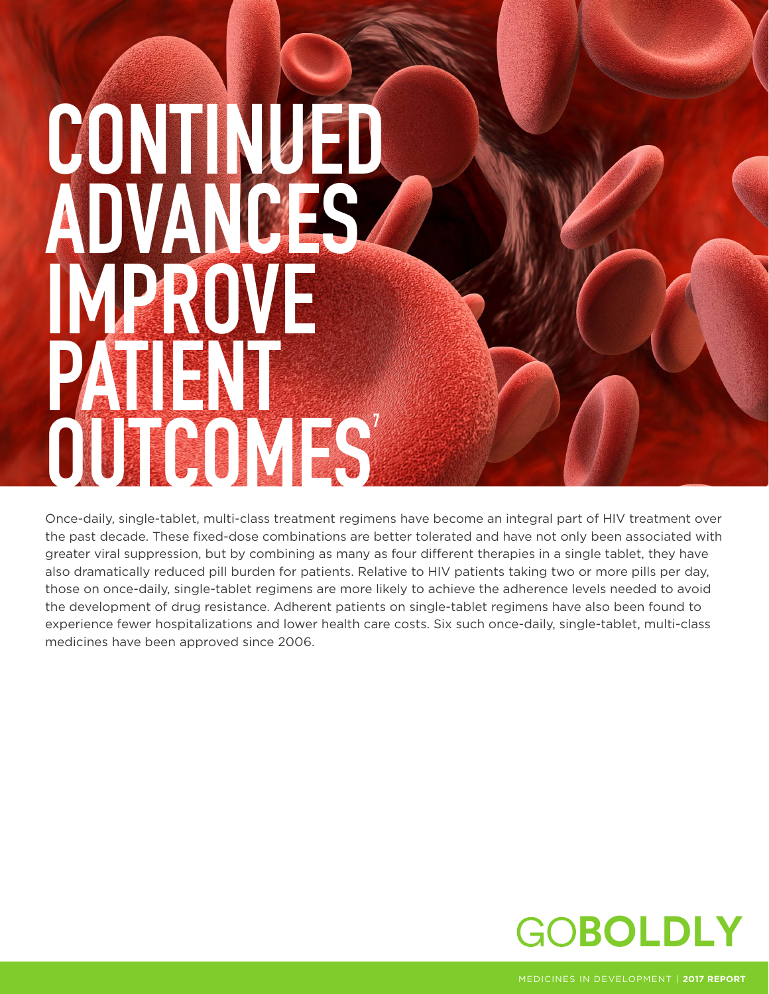# CONTINUED ADVANCES IMPROVE PATIENT OUTCOMES

Once-daily, single-tablet, multi-class treatment regimens have become an integral part of HIV treatment over the past decade. These fixed-dose combinations are better tolerated and have not only been associated with greater viral suppression, but by combining as many as four different therapies in a single tablet, they have also dramatically reduced pill burden for patients. Relative to HIV patients taking two or more pills per day, those on once-daily, single-tablet regimens are more likely to achieve the adherence levels needed to avoid the development of drug resistance. Adherent patients on single-tablet regimens have also been found to experience fewer hospitalizations and lower health care costs. Six such once-daily, single-tablet, multi-class medicines have been approved since 2006.



MEDICINES IN DEVELOPMENT | **2017 REPORT**